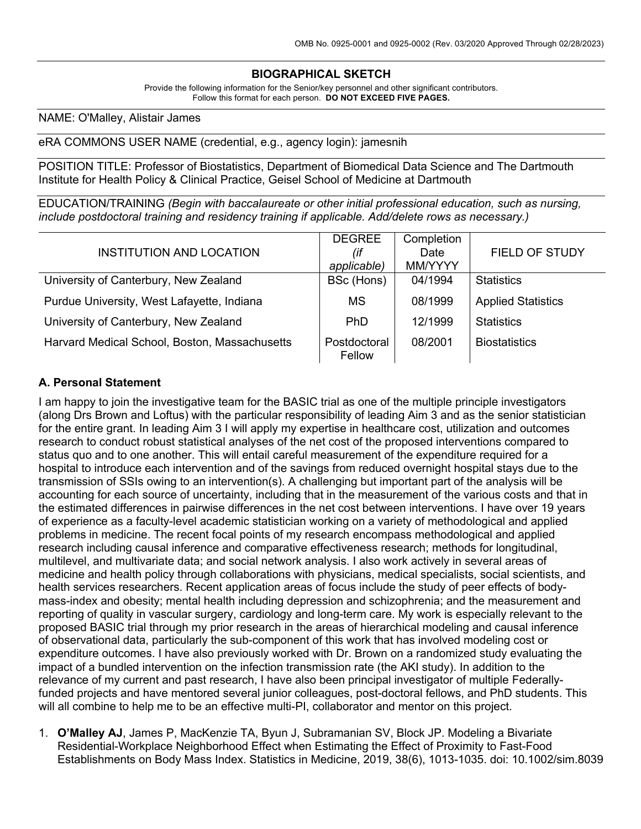# **BIOGRAPHICAL SKETCH**

Provide the following information for the Senior/key personnel and other significant contributors. Follow this format for each person. **DO NOT EXCEED FIVE PAGES.**

#### NAME: O'Malley, Alistair James

eRA COMMONS USER NAME (credential, e.g., agency login): jamesnih

POSITION TITLE: Professor of Biostatistics, Department of Biomedical Data Science and The Dartmouth Institute for Health Policy & Clinical Practice, Geisel School of Medicine at Dartmouth

EDUCATION/TRAINING *(Begin with baccalaureate or other initial professional education, such as nursing, include postdoctoral training and residency training if applicable. Add/delete rows as necessary.)*

| INSTITUTION AND LOCATION                      | <b>DEGREE</b><br>(if<br>applicable) | Completion<br>Date<br>MM/YYYY | <b>FIELD OF STUDY</b>     |
|-----------------------------------------------|-------------------------------------|-------------------------------|---------------------------|
| University of Canterbury, New Zealand         | BSc (Hons)                          | 04/1994                       | <b>Statistics</b>         |
| Purdue University, West Lafayette, Indiana    | MS                                  | 08/1999                       | <b>Applied Statistics</b> |
| University of Canterbury, New Zealand         | <b>PhD</b>                          | 12/1999                       | <b>Statistics</b>         |
| Harvard Medical School, Boston, Massachusetts | Postdoctoral<br>Fellow              | 08/2001                       | <b>Biostatistics</b>      |

#### **A. Personal Statement**

I am happy to join the investigative team for the BASIC trial as one of the multiple principle investigators (along Drs Brown and Loftus) with the particular responsibility of leading Aim 3 and as the senior statistician for the entire grant. In leading Aim 3 I will apply my expertise in healthcare cost, utilization and outcomes research to conduct robust statistical analyses of the net cost of the proposed interventions compared to status quo and to one another. This will entail careful measurement of the expenditure required for a hospital to introduce each intervention and of the savings from reduced overnight hospital stays due to the transmission of SSIs owing to an intervention(s). A challenging but important part of the analysis will be accounting for each source of uncertainty, including that in the measurement of the various costs and that in the estimated differences in pairwise differences in the net cost between interventions. I have over 19 years of experience as a faculty-level academic statistician working on a variety of methodological and applied problems in medicine. The recent focal points of my research encompass methodological and applied research including causal inference and comparative effectiveness research; methods for longitudinal, multilevel, and multivariate data; and social network analysis. I also work actively in several areas of medicine and health policy through collaborations with physicians, medical specialists, social scientists, and health services researchers. Recent application areas of focus include the study of peer effects of bodymass-index and obesity; mental health including depression and schizophrenia; and the measurement and reporting of quality in vascular surgery, cardiology and long-term care. My work is especially relevant to the proposed BASIC trial through my prior research in the areas of hierarchical modeling and causal inference of observational data, particularly the sub-component of this work that has involved modeling cost or expenditure outcomes. I have also previously worked with Dr. Brown on a randomized study evaluating the impact of a bundled intervention on the infection transmission rate (the AKI study). In addition to the relevance of my current and past research, I have also been principal investigator of multiple Federallyfunded projects and have mentored several junior colleagues, post-doctoral fellows, and PhD students. This will all combine to help me to be an effective multi-PI, collaborator and mentor on this project.

1. **O'Malley AJ**, James P, MacKenzie TA, Byun J, Subramanian SV, Block JP. Modeling a Bivariate Residential-Workplace Neighborhood Effect when Estimating the Effect of Proximity to Fast-Food Establishments on Body Mass Index. Statistics in Medicine, 2019, 38(6), 1013-1035. doi: 10.1002/sim.8039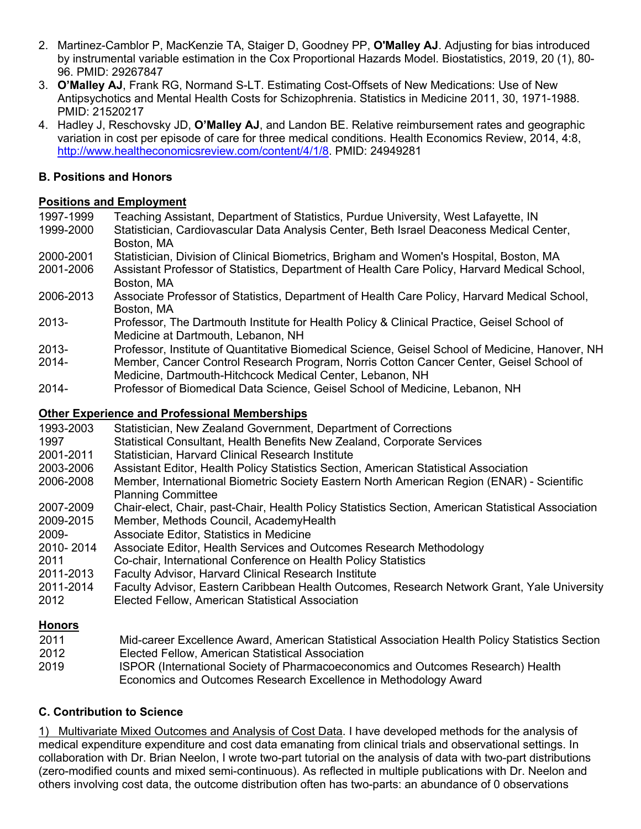- 2. Martinez-Camblor P, MacKenzie TA, Staiger D, Goodney PP, **O'Malley AJ**. Adjusting for bias introduced by instrumental variable estimation in the Cox Proportional Hazards Model. Biostatistics, 2019, 20 (1), 80- 96. PMID: 29267847
- 3. **O'Malley AJ**, Frank RG, Normand S-LT. Estimating Cost-Offsets of New Medications: Use of New Antipsychotics and Mental Health Costs for Schizophrenia. Statistics in Medicine 2011, 30, 1971-1988. PMID: 21520217
- 4. Hadley J, Reschovsky JD, **O'Malley AJ**, and Landon BE. Relative reimbursement rates and geographic variation in cost per episode of care for three medical conditions. Health Economics Review, 2014, 4:8, http://www.healtheconomicsreview.com/content/4/1/8. PMID: 24949281

### **B. Positions and Honors**

# **Positions and Employment**

- 1997-1999 Teaching Assistant, Department of Statistics, Purdue University, West Lafayette, IN<br>1999-2000 Statistician, Cardiovascular Data Analysis Center. Beth Israel Deaconess Medical C Statistician, Cardiovascular Data Analysis Center, Beth Israel Deaconess Medical Center, Boston, MA
- 2000-2001 Statistician, Division of Clinical Biometrics, Brigham and Women's Hospital, Boston, MA
- 2001-2006 Assistant Professor of Statistics, Department of Health Care Policy, Harvard Medical School, Boston, MA
- 2006-2013 Associate Professor of Statistics, Department of Health Care Policy, Harvard Medical School, Boston, MA
- 2013- Professor, The Dartmouth Institute for Health Policy & Clinical Practice, Geisel School of Medicine at Dartmouth, Lebanon, NH
- 2013- Professor, Institute of Quantitative Biomedical Science, Geisel School of Medicine, Hanover, NH
- 2014- Member, Cancer Control Research Program, Norris Cotton Cancer Center, Geisel School of Medicine, Dartmouth-Hitchcock Medical Center, Lebanon, NH
- 2014- Professor of Biomedical Data Science, Geisel School of Medicine, Lebanon, NH

# **Other Experience and Professional Memberships**

- 1993-2003 Statistician, New Zealand Government, Department of Corrections 1997 Statistical Consultant, Health Benefits New Zealand, Corporate Services 2001-2011 Statistician, Harvard Clinical Research Institute 2003-2006 Assistant Editor, Health Policy Statistics Section, American Statistical Association 2006-2008 Member, International Biometric Society Eastern North American Region (ENAR) - Scientific Planning Committee 2007-2009 Chair-elect, Chair, past-Chair, Health Policy Statistics Section, American Statistical Association 2009-2015 Member, Methods Council, AcademyHealth 2009- Associate Editor, Statistics in Medicine 2010- 2014 Associate Editor, Health Services and Outcomes Research Methodology 2011 Co-chair, International Conference on Health Policy Statistics 2011-2013 Faculty Advisor, Harvard Clinical Research Institute 2011-2014 Faculty Advisor, Eastern Caribbean Health Outcomes, Research Network Grant, Yale University 2012 Elected Fellow, American Statistical Association **Honors**
- 2011 Mid-career Excellence Award, American Statistical Association Health Policy Statistics Section 2012 Elected Fellow, American Statistical Association 2019 ISPOR (International Society of Pharmacoeconomics and Outcomes Research) Health Economics and Outcomes Research Excellence in Methodology Award

### **C. Contribution to Science**

1) Multivariate Mixed Outcomes and Analysis of Cost Data. I have developed methods for the analysis of medical expenditure expenditure and cost data emanating from clinical trials and observational settings. In collaboration with Dr. Brian Neelon, I wrote two-part tutorial on the analysis of data with two-part distributions (zero-modified counts and mixed semi-continuous). As reflected in multiple publications with Dr. Neelon and others involving cost data, the outcome distribution often has two-parts: an abundance of 0 observations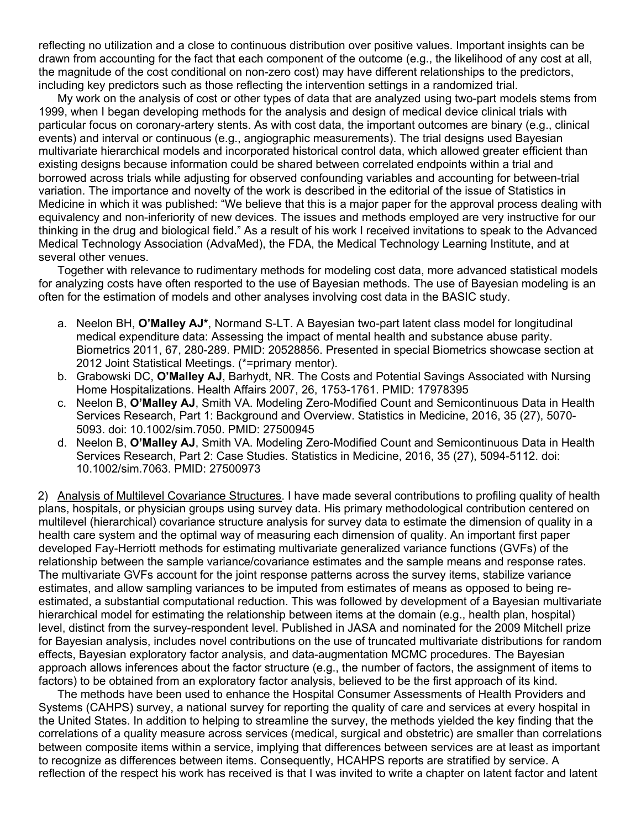reflecting no utilization and a close to continuous distribution over positive values. Important insights can be drawn from accounting for the fact that each component of the outcome (e.g., the likelihood of any cost at all, the magnitude of the cost conditional on non-zero cost) may have different relationships to the predictors, including key predictors such as those reflecting the intervention settings in a randomized trial.

My work on the analysis of cost or other types of data that are analyzed using two-part models stems from 1999, when I began developing methods for the analysis and design of medical device clinical trials with particular focus on coronary-artery stents. As with cost data, the important outcomes are binary (e.g., clinical events) and interval or continuous (e.g., angiographic measurements). The trial designs used Bayesian multivariate hierarchical models and incorporated historical control data, which allowed greater efficient than existing designs because information could be shared between correlated endpoints within a trial and borrowed across trials while adjusting for observed confounding variables and accounting for between-trial variation. The importance and novelty of the work is described in the editorial of the issue of Statistics in Medicine in which it was published: "We believe that this is a major paper for the approval process dealing with equivalency and non-inferiority of new devices. The issues and methods employed are very instructive for our thinking in the drug and biological field." As a result of his work I received invitations to speak to the Advanced Medical Technology Association (AdvaMed), the FDA, the Medical Technology Learning Institute, and at several other venues.

Together with relevance to rudimentary methods for modeling cost data, more advanced statistical models for analyzing costs have often resported to the use of Bayesian methods. The use of Bayesian modeling is an often for the estimation of models and other analyses involving cost data in the BASIC study.

- a. Neelon BH, **O'Malley AJ\***, Normand S-LT. A Bayesian two-part latent class model for longitudinal medical expenditure data: Assessing the impact of mental health and substance abuse parity. Biometrics 2011, 67, 280-289. PMID: 20528856. Presented in special Biometrics showcase section at 2012 Joint Statistical Meetings. (\*=primary mentor).
- b. Grabowski DC, **O'Malley AJ**, Barhydt, NR. The Costs and Potential Savings Associated with Nursing Home Hospitalizations. Health Affairs 2007, 26, 1753-1761. PMID: 17978395
- c. Neelon B, **O'Malley AJ**, Smith VA. Modeling Zero-Modified Count and Semicontinuous Data in Health Services Research, Part 1: Background and Overview. Statistics in Medicine, 2016, 35 (27), 5070- 5093. doi: 10.1002/sim.7050. PMID: 27500945
- d. Neelon B, **O'Malley AJ**, Smith VA. Modeling Zero-Modified Count and Semicontinuous Data in Health Services Research, Part 2: Case Studies. Statistics in Medicine, 2016, 35 (27), 5094-5112. doi: 10.1002/sim.7063. PMID: 27500973

2) Analysis of Multilevel Covariance Structures. I have made several contributions to profiling quality of health plans, hospitals, or physician groups using survey data. His primary methodological contribution centered on multilevel (hierarchical) covariance structure analysis for survey data to estimate the dimension of quality in a health care system and the optimal way of measuring each dimension of quality. An important first paper developed Fay-Herriott methods for estimating multivariate generalized variance functions (GVFs) of the relationship between the sample variance/covariance estimates and the sample means and response rates. The multivariate GVFs account for the joint response patterns across the survey items, stabilize variance estimates, and allow sampling variances to be imputed from estimates of means as opposed to being reestimated, a substantial computational reduction. This was followed by development of a Bayesian multivariate hierarchical model for estimating the relationship between items at the domain (e.g., health plan, hospital) level, distinct from the survey-respondent level. Published in JASA and nominated for the 2009 Mitchell prize for Bayesian analysis, includes novel contributions on the use of truncated multivariate distributions for random effects, Bayesian exploratory factor analysis, and data-augmentation MCMC procedures. The Bayesian approach allows inferences about the factor structure (e.g., the number of factors, the assignment of items to factors) to be obtained from an exploratory factor analysis, believed to be the first approach of its kind.

The methods have been used to enhance the Hospital Consumer Assessments of Health Providers and Systems (CAHPS) survey, a national survey for reporting the quality of care and services at every hospital in the United States. In addition to helping to streamline the survey, the methods yielded the key finding that the correlations of a quality measure across services (medical, surgical and obstetric) are smaller than correlations between composite items within a service, implying that differences between services are at least as important to recognize as differences between items. Consequently, HCAHPS reports are stratified by service. A reflection of the respect his work has received is that I was invited to write a chapter on latent factor and latent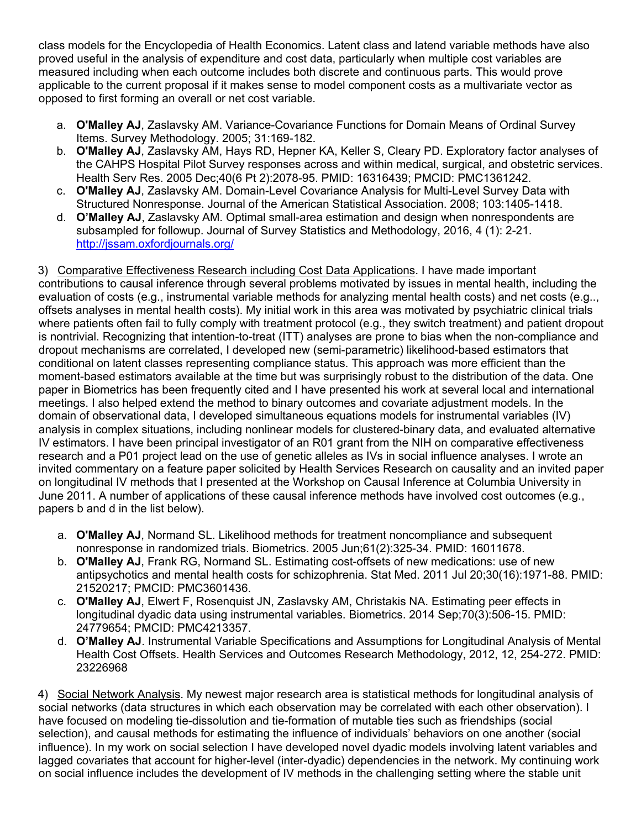class models for the Encyclopedia of Health Economics. Latent class and latend variable methods have also proved useful in the analysis of expenditure and cost data, particularly when multiple cost variables are measured including when each outcome includes both discrete and continuous parts. This would prove applicable to the current proposal if it makes sense to model component costs as a multivariate vector as opposed to first forming an overall or net cost variable.

- a. **O'Malley AJ**, Zaslavsky AM. Variance-Covariance Functions for Domain Means of Ordinal Survey Items. Survey Methodology. 2005; 31:169-182.
- b. **O'Malley AJ**, Zaslavsky AM, Hays RD, Hepner KA, Keller S, Cleary PD. Exploratory factor analyses of the CAHPS Hospital Pilot Survey responses across and within medical, surgical, and obstetric services. Health Serv Res. 2005 Dec;40(6 Pt 2):2078-95. PMID: 16316439; PMCID: PMC1361242.
- c. **O'Malley AJ**, Zaslavsky AM. Domain-Level Covariance Analysis for Multi-Level Survey Data with Structured Nonresponse. Journal of the American Statistical Association. 2008; 103:1405-1418.
- d. **O'Malley AJ**, Zaslavsky AM. Optimal small-area estimation and design when nonrespondents are subsampled for followup. Journal of Survey Statistics and Methodology, 2016, 4 (1): 2-21. http://jssam.oxfordjournals.org/

3) Comparative Effectiveness Research including Cost Data Applications. I have made important contributions to causal inference through several problems motivated by issues in mental health, including the evaluation of costs (e.g., instrumental variable methods for analyzing mental health costs) and net costs (e.g.., offsets analyses in mental health costs). My initial work in this area was motivated by psychiatric clinical trials where patients often fail to fully comply with treatment protocol (e.g., they switch treatment) and patient dropout is nontrivial. Recognizing that intention-to-treat (ITT) analyses are prone to bias when the non-compliance and dropout mechanisms are correlated, I developed new (semi-parametric) likelihood-based estimators that conditional on latent classes representing compliance status. This approach was more efficient than the moment-based estimators available at the time but was surprisingly robust to the distribution of the data. One paper in Biometrics has been frequently cited and I have presented his work at several local and international meetings. I also helped extend the method to binary outcomes and covariate adjustment models. In the domain of observational data, I developed simultaneous equations models for instrumental variables (IV) analysis in complex situations, including nonlinear models for clustered-binary data, and evaluated alternative IV estimators. I have been principal investigator of an R01 grant from the NIH on comparative effectiveness research and a P01 project lead on the use of genetic alleles as IVs in social influence analyses. I wrote an invited commentary on a feature paper solicited by Health Services Research on causality and an invited paper on longitudinal IV methods that I presented at the Workshop on Causal Inference at Columbia University in June 2011. A number of applications of these causal inference methods have involved cost outcomes (e.g., papers b and d in the list below).

- a. **O'Malley AJ**, Normand SL. Likelihood methods for treatment noncompliance and subsequent nonresponse in randomized trials. Biometrics. 2005 Jun;61(2):325-34. PMID: 16011678.
- b. **O'Malley AJ**, Frank RG, Normand SL. Estimating cost-offsets of new medications: use of new antipsychotics and mental health costs for schizophrenia. Stat Med. 2011 Jul 20;30(16):1971-88. PMID: 21520217; PMCID: PMC3601436.
- c. **O'Malley AJ**, Elwert F, Rosenquist JN, Zaslavsky AM, Christakis NA. Estimating peer effects in longitudinal dyadic data using instrumental variables. Biometrics. 2014 Sep;70(3):506-15. PMID: 24779654; PMCID: PMC4213357.
- d. **O'Malley AJ**. Instrumental Variable Specifications and Assumptions for Longitudinal Analysis of Mental Health Cost Offsets. Health Services and Outcomes Research Methodology, 2012, 12, 254-272. PMID: 23226968

4) Social Network Analysis. My newest major research area is statistical methods for longitudinal analysis of social networks (data structures in which each observation may be correlated with each other observation). I have focused on modeling tie-dissolution and tie-formation of mutable ties such as friendships (social selection), and causal methods for estimating the influence of individuals' behaviors on one another (social influence). In my work on social selection I have developed novel dyadic models involving latent variables and lagged covariates that account for higher-level (inter-dyadic) dependencies in the network. My continuing work on social influence includes the development of IV methods in the challenging setting where the stable unit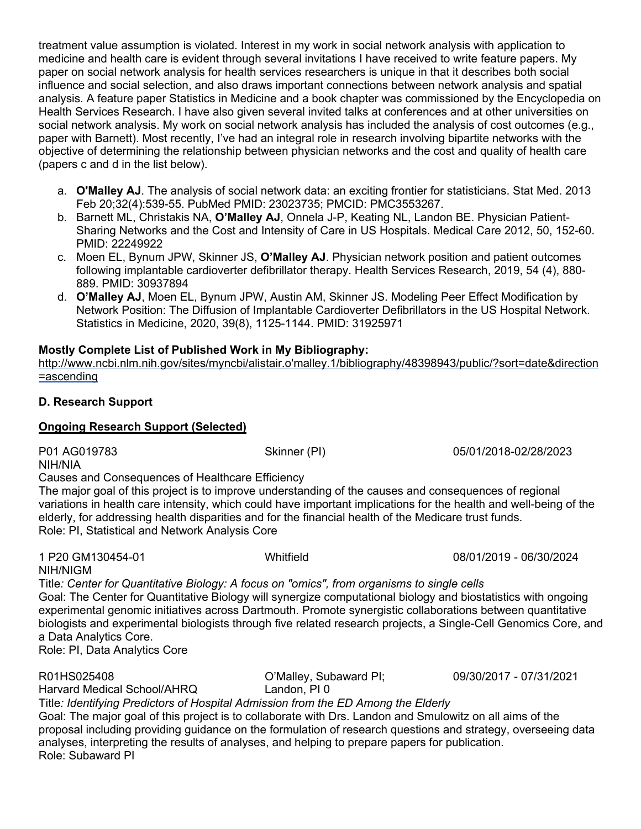treatment value assumption is violated. Interest in my work in social network analysis with application to medicine and health care is evident through several invitations I have received to write feature papers. My paper on social network analysis for health services researchers is unique in that it describes both social influence and social selection, and also draws important connections between network analysis and spatial analysis. A feature paper Statistics in Medicine and a book chapter was commissioned by the Encyclopedia on Health Services Research. I have also given several invited talks at conferences and at other universities on social network analysis. My work on social network analysis has included the analysis of cost outcomes (e.g., paper with Barnett). Most recently, I've had an integral role in research involving bipartite networks with the objective of determining the relationship between physician networks and the cost and quality of health care (papers c and d in the list below).

- a. **O'Malley AJ**. The analysis of social network data: an exciting frontier for statisticians. Stat Med. 2013 Feb 20;32(4):539-55. PubMed PMID: 23023735; PMCID: PMC3553267.
- b. Barnett ML, Christakis NA, **O'Malley AJ**, Onnela J-P, Keating NL, Landon BE. Physician Patient-Sharing Networks and the Cost and Intensity of Care in US Hospitals. Medical Care 2012, 50, 152-60. PMID: 22249922
- c. Moen EL, Bynum JPW, Skinner JS, **O'Malley AJ**. Physician network position and patient outcomes following implantable cardioverter defibrillator therapy. Health Services Research, 2019, 54 (4), 880- 889. PMID: 30937894
- d. **O'Malley AJ**, Moen EL, Bynum JPW, Austin AM, Skinner JS. Modeling Peer Effect Modification by Network Position: The Diffusion of Implantable Cardioverter Defibrillators in the US Hospital Network. Statistics in Medicine, 2020, 39(8), 1125-1144. PMID: 31925971

# **Mostly Complete List of Published Work in My Bibliography:**

http://www.ncbi.nlm.nih.gov/sites/myncbi/alistair.o'malley.1/bibliography/48398943/public/?sort=date&direction =ascending

# **D. Research Support**

### **Ongoing Research Support (Selected)**

P01 AG019783 Skinner (PI) 05/01/2018-02/28/2023

NIH/NIA

Causes and Consequences of Healthcare Efficiency

The major goal of this project is to improve understanding of the causes and consequences of regional variations in health care intensity, which could have important implications for the health and well-being of the elderly, for addressing health disparities and for the financial health of the Medicare trust funds. Role: PI, Statistical and Network Analysis Core

1 P20 GM130454-01 Whitfield 08/01/2019 - 06/30/2024 NIH/NIGM Title*: Center for Quantitative Biology: A focus on "omics", from organisms to single cells* Goal: The Center for Quantitative Biology will synergize computational biology and biostatistics with ongoing experimental genomic initiatives across Dartmouth. Promote synergistic collaborations between quantitative biologists and experimental biologists through five related research projects, a Single-Cell Genomics Core, and a Data Analytics Core. Role: PI, Data Analytics Core

R01HS025408 O'Malley, Subaward PI; 09/30/2017 - 07/31/2021

Harvard Medical School/AHRQ Landon, PI 0

Title*: Identifying Predictors of Hospital Admission from the ED Among the Elderly*

Goal: The major goal of this project is to collaborate with Drs. Landon and Smulowitz on all aims of the proposal including providing guidance on the formulation of research questions and strategy, overseeing data analyses, interpreting the results of analyses, and helping to prepare papers for publication. Role: Subaward PI